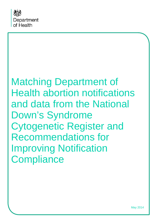

# Matching Department of Health abortion notifications and data from the National Down's Syndrome Cytogenetic Register and Recommendations for Improving Notification **Compliance**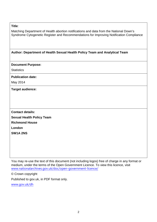#### **Title**:

Matching Department of Health abortion notifications and data from the National Down's Syndrome Cytogenetic Register and Recommendations for Improving Notification Compliance

#### **Author: Department of Health Sexual Health Policy Team and Analytical Team**

#### **Document Purpose:**

**Statistics** 

#### **Publication date:**

May 2014

**Target audience:**

**Contact details: Sexual Health Policy Team Richmond House London SW1A 2NS**

You may re-use the text of this document (not including logos) free of charge in any format or medium, under the terms of the Open Government Licence. To view this licence, visit [www.nationalarchives.gov.uk/doc/open-government-licence/](http://www.nationalarchives.gov.uk/doc/open-government-licence/)

© Crown copyright

Published to gov.uk, in PDF format only.

[www.gov.uk/dh](http://www.gov.uk/dh)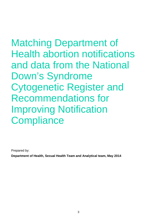Matching Department of Health abortion notifications and data from the National Down's Syndrome Cytogenetic Register and Recommendations for Improving Notification **Compliance** 

Prepared by:

**Department of Health, Sexual Health Team and Analytical team, May 2014**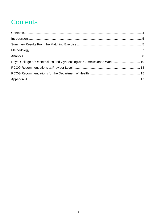### **Contents**

| Royal College of Obstetricians and Gynaecologists Commissioned Work 10 |  |
|------------------------------------------------------------------------|--|
|                                                                        |  |
|                                                                        |  |
|                                                                        |  |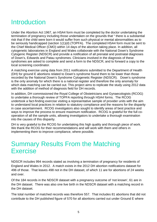### **Introduction**

Under the Abortion Act 1967, an HSA4 form must be completed by the doctor undertaking the termination of pregnancy including those undertaken on the grounds that " there is a substantial risk that if the child were born it would suffer from such physical or mental abnormalities as to be seriously handicapped (section 1(1)(d) (TOPFA). The completed HSA4 form must be sent to the Chief Medical Officer (CMO) within 14 days of the abortion taking place. In addition, all cytogenetic laboratories in England and Wales collaborate with the National Down's Syndrome Cytogenic Register (NDSCR) and provide a notification of all prenatal and postnatal diagnoses of Down's, Edwards and Patau syndromes. Clinicians involved in the diagnosis of these syndromes are asked to complete and send a form to the NDSCR, and to forward a copy to the local screening coordinator.

A matching exercise using data from 2011 notifications submitted to the Department of Health (DH) for ground E abortions related to Down's syndrome found them to be lower than those recorded by the National Down's Syndrome Cytogenetic Register (NDSCR). Down's syndrome is the only anomaly for which there is a national register and therefore the only anomaly for which data matching can be carried out. This project aims to replicate the study using 2012 data with the addition of method of diagnosis field for DH records.

In addition, DH commissioned the Royal College of Obstetricians and Gynaecologists (RCOG) to undertake a thorough review of TOPFA reporting through HSA4 forms. The RCOG undertook a fact-finding exercise visiting a representative sample of provider units with the aim to understand local practices in relation to statutory compliance and the reasons for the disparity in case ascertainment. RCOG investigators also sought to identify areas of best practice and ways to improve the process to ensure maximum notification. RCOG is grateful for the full cooperation of all the sample units, allowing investigators to undertake a thorough examination into the causes of this disparity.

DH is very grateful to the RCOG for undertaking this high quality and thorough piece of work. We thank the RCOG for their recommendations and will work with them and others in implementing them to improve compliance, where possible.

### Summary Results From the Matching Exercise

NDSCR includes 994 records stated as involving a termination of pregnancy for residents of England and Wales in 2012. A match exists in the 2012 DH abortion notifications dataset for 496 of those. That leaves 498 not in the DH dataset, of which 11 are for abortions of 24 weeks and over.

Of the 184 records in the NDSCR dataset with a pregnancy outcome of 'not known', 61 are in the DH dataset. There was also one live birth in the NDSCR dataset with a matching record in the DH dataset.

The total number of matched records was therefore 557. That includes 81 abortions that did not contribute to the DH published figure of 570 for all abortions carried out under Ground E where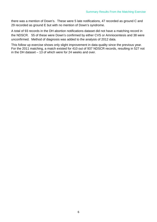there was a mention of Down's. These were 5 late notifications, 47 recorded as ground C and 29 recorded as ground E but with no mention of Down's syndrome.

A total of 93 records in the DH abortion notifications dataset did not have a matching record in the NDSCR. 55 of these were Down's confirmed by either CVS or Amniocentesis and 38 were unconfirmed. Method of diagnosis was added to the analysis of 2012 data.

This follow up exercise shows only slight improvement in data quality since the previous year. For the 2011 matching, a match existed for 410 out of 937 NDSCR records, resulting in 527 not in the DH dataset  $-13$  of which were for 24 weeks and over.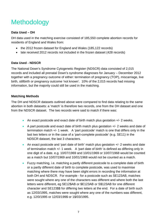## **Methodology**

#### **Data Used – DH**

DH data used in the matching exercise consisted of 185,550 complete abortion records for residents of England and Wales from:

- the 2012 frozen dataset for England and Wales (185,122 records)
- late received 2012 records not included in the frozen dataset (428 records)

#### **Data Used - NDSCR**

The National Down's Syndrome Cytogenetic Register (NDSCR) data consisted of 2,015 records and included all prenatal Down's syndrome diagnoses for January – December 2012 together with a pregnancy outcome of either: termination of pregnancy (TOP), miscarriage, live birth, stillbirth or pregnancy outcome 'not known'. 10% of the 2,015 records had missing information, but the majority could still be used in the matching.

#### **Matching Methods**

The DH and NDSCR datasets outlined above were compared to find data relating to the same abortion in both datasets: a 'match' is therefore two records, one from the DH dataset and one from the NDSCR dataset. The two records were said to match if there was:

- An exact postcode and exact date of birth match plus gestation  $+/- 2$  weeks.
- A part postcode and exact date of birth match plus gestation  $+/- 2$  weeks and date of termination match +/- 1 week. A 'part postcode' match is one that differs only in the last two letters or in the case of a 'part-complete postcode' (e.g. SE11) in the NDSCR dataset, the last 3 characters.
- An exact postcode and 'part date of birth' match plus gestation  $+/- 2$  weeks and date of termination match +/- 1 week. A 'part date of birth' is defined as differing only in one digit of a date. e.g. 10/07/1969 and 10/01/1969 or 10/07/1968 would be counted as a match but 10/07/1969 and 10/01/1968 would not be counted as a match.
- Fuzzy matching, i.e. matching a partly different postcode to a complete date of birth or a partly different date of birth to complete postcode, was used to maximise matching where there may have been slight errors in recording the information at both DH and NDSCR. For example - for a postcode such as SE123AB, matches were sought where any one of the characters was different and where both the last letters were different, eg SE12\$AB or \$E123AB or S\$123AB for one different character and SE123\$\$ for differing two letters at the end. For a date of birth such as 12/03/1995, matches were sought where any one of the numbers was different, e.g. 12/0/1995 or 12/03/199\$ or 1\$/03/1995.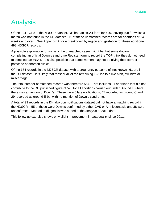### Analysis

Of the 994 TOPs in the NDSCR dataset, DH had an HSA4 form for 496, leaving 498 for which a match was not found in the DH dataset. 11 of these unmatched records are for abortions of 24 weeks and over. See Appendix A for a breakdown by region and gestation for these additional 498 NDSCR records.

A possible explanation for some of the unmatched cases might be that some doctors completing an official Down's syndrome Register form to record the TOP think they do not need to complete an HSA4. It is also possible that some women may not be giving their correct postcode at abortion clinics.

Of the 184 records in the NDSCR dataset with a pregnancy outcome of 'not known', 61 are in the DH dataset. It is likely that most or all of the remaining 123 led to a live birth, still birth or miscarriage.

The total number of matched records was therefore 557. That includes 81 abortions that did not contribute to the DH published figure of 570 for all abortions carried out under Ground E where there was a mention of Down's. These were 5 late notifications, 47 recorded as ground C and 29 recorded as ground E but with no mention of Down's syndrome.

A total of 93 records in the DH abortion notifications dataset did not have a matching record in the NDSCR. 55 of these were Down's confirmed by either CVS or Amniocentesis and 38 were unconfirmed. Method of diagnosis was added to the analysis of 2012 data.

This follow up exercise shows only slight improvement in data quality since 2011.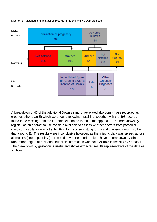

#### Diagram 1 Matched and unmatched records in the DH and NDSCR data sets

A breakdown of 47 of the additional Down's syndrome-related abortions (those recorded as grounds other than E) which were found following matching, together with the 498 records found to be missing from the DH dataset, can be found in the appendix. The breakdown by region was an attempt to use the data available to assess whether doctors from particular clinics or hospitals were not submitting forms or submitting forms and choosing grounds other than ground E. The results were inconclusive however, as the missing data was spread across all regions (see appendix A). It would have been preferable to have a breakdown by clinic rather than region of residence but clinic information was not available in the NDSCR dataset. The breakdown by gestation is useful and shows expected results representative of the data as a whole.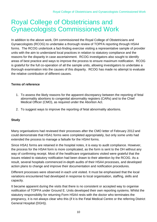### Royal College of Obstetricians and Gynaecologists Commissioned Work

In addition to the above work, DH commissioned the Royal College of Obstetricians and Gynaecologists (RCOG) to undertake a thorough review of TOPFA reporting through HSA4 forms. The RCOG undertook a fact-finding exercise visiting a representative sample of provider units with the aim to understand local practices in relation to statutory compliance and the reasons for the disparity in case ascertainment. RCOG investigators also sought to identify areas of best practice and ways to improve the process to ensure maximum notification. RCOG is grateful for the full co-operation of all the sample units, allowing investigators to undertake a thorough examination into the causes of this disparity. RCOG has made no attempt to evaluate the relative contribution of different causes.

#### **Terms of reference**

- 1. To assess the likely reasons for the apparent discrepancy between the reporting of fetal abnormality abortions to congenital abnormality registers (CARs) and to the Chief Medical Officer (CMO), as required under the Abortion Act.
- 2. To suggest ways to improve the reporting of fetal abnormality abortions.

#### **Study**

Many organisations had reviewed their processes after the CMO letter of February 2012 and could demonstrate that HSA1 forms were completed appropriately, but only some units had extended the process to manage a failsafe for the HSA4 forms.

Since HSA1 forms are retained in the hospital notes, it is easy to audit compliance. However, the process for the HSA4 form is more complicated, as the form is sent to the DH without any way of confirming receipt. Most of the healthcare organisations visited were grateful that the issues related to statutory notification had been drawn to their attention by the RCOG. As a result, several hospitals commenced in-depth audits of their HSA4 processes, and developed action plans to change and improve their documentation and notification procedures.

Different processes were observed in each unit visited. It must be emphasised that the local variations encountered had developed in response to local organisation, staffing, skills and capacity.

It became apparent during the visits that there is no consistent or accepted way to organise notification of TOPFA under Ground E. Units developed their own reporting systems. Whilst the statutory responsibility for returning Form HSA4 rests with the doctor who terminates the pregnancy, it is not always clear who this (if it is the Fetal Medical Centre or the referring District General Hospital (DGH)).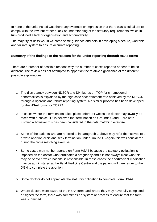In none of the units visited was there any evidence or impression that there was wilful failure to comply with the law, but rather a lack of understanding of the statutory requirements, which in turn produced a lack of organisation and accountability.

The majority of units would welcome some guidance and help in developing a secure, workable and failsafe system to ensure accurate reporting.

#### **Summary of the findings of the reasons for the under-reporting through HSA4 forms**

There are a number of possible reasons why the number of cases reported appear to be so different. The review has not attempted to apportion the relative significance of the different possible explanations.

- 1. The discrepancy between NDSCR and DH figures on TOP for chromosomal abnormalities is explained by the high case ascertainment rate achieved by the NDSCR through a rigorous and robust reporting system. No similar process has been developed for the HSA4 forms for TOPFA.
- 2. In cases where the termination takes place before 24 weeks the doctor may lawfully be faced with a choice, if it is believed that termination on Grounds C and E are both justified – however this has been considered in the data matching exercise.
- 3. Some of the patients who are referred to in paragraph 2 above may refer themselves to a private abortion clinic and seek termination under Ground C –again this was considered during the cross matching exercise.
- 4. Some cases may not be reported on Form HSA4 because the statutory obligation is imposed on the doctor who terminates a pregnancy and it is not always clear who this may be or even which hospital is responsible. In these cases the abortifacient medication may be administered at the Fetal Medicine Centre and the patient will then return to the DGH to complete the abortion.
- 5. Some doctors do not appreciate the statutory obligation to complete Form HSA4.
- 6. Where doctors were aware of the HSA4 form, and where they may have fully completed or signed the form, there was sometimes no system or process to ensure that the form was submitted.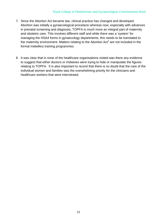- 7. Since the Abortion Act became law, clinical practice has changed and developed. Abortion was initially a gynaecological procedure whereas now, especially with advances in prenatal screening and diagnosis, TOPFA is much more an integral part of maternity and obstetric care. This involves different staff and while there was a 'system' for managing the HSA4 forms in gynaecology departments, this needs to be translated to the maternity environment. Matters relating to the Abortion  $Act<sup>1</sup>$  are not included in the formal midwifery training programmes.
- 8. It was clear that in none of the healthcare organisations visited was there any evidence to suggest that either doctors or midwives were trying to hide or manipulate the figures relating to TOPFA. It is also important to record that there is no doubt that the care of the individual women and families was the overwhelming priority for the clinicians and healthcare workers that were interviewed.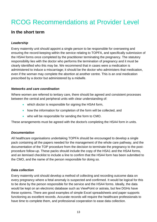## RCOG Recommendations at Provider Level

#### **In the short term**

#### *Leadership*

Every maternity unit should appoint a single person to be responsible for overseeing and ensuring the record-keeping within the service relating to TOPFA, and specifically submission of the HSA4 forms once completed by the practitioner terminating the pregnancy. The statutory responsibility lies with the doctor who performs the termination of pregnancy and it must be clearly identified who this may be. We recommend that in cases were a medication is administered to induce a miscarriage; it should be the doctor who administers that medication, even if the woman may complete the abortion at another centre. This is an oral medication prescribed by a doctor but administered by a midwife.

#### *Networks and care coordination*

Where women are referred to tertiary care, there should be agreed and consistent processes between the central and peripheral units with clear understanding of:

- which doctor is responsible for signing the HSA4 form,
- how the information for completion of the form will be collected, and
- who will be responsible for sending the form to CMO.

These arrangements must be agreed with the doctor/s completing the HSA4 form in units.

#### *Documentation*

All healthcare organisations undertaking TOPFA should be encouraged to develop a single pack containing all the papers needed for the management of the whole care pathway, and the documentation of the TOP procedure from the decision to terminate the pregnancy to the postprocedure follow-up. These packs should include the copy of the HSA1 and the HSA4 forms, and an itemised checklist to include a line to confirm that the HSA4 form has been submitted to the CMO, and the name of the person responsible for doing so.

#### *Data collection*

Every maternity unit should develop a method of collecting and recording outcome data on every pregnancy where a fetal anomaly is suspected and confirmed. It would be logical for this to be done by the person responsible for the service and the HSA4 forms. Ideally, the data would be kept on an electronic database such as ViewPoint or astraia, but few DGHs have these systems. There are good examples of simple Excel spreadsheets and paper supports functioning as excellent records. Accurate records will require the healthcare professionals to have time to complete them, and professional cooperation to ease data collection.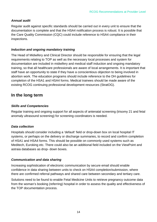#### *Annual audit*

Regular audit against specific standards should be carried out in every unit to ensure that the documentation is complete and that the HSA4 notification process is robust. It is possible that the Care Quality Commission (CQC) could include reference to HSA4 compliance in their inspections.

#### *Induction and ongoing mandatory training*

The Head of Midwifery and Clinical Director should be responsible for ensuring that the legal requirements relating to TOP as well as the necessary local processes and system for documentation are included in midwifery and medical staff induction and ongoing mandatory training, so that all healthcare professionals are aware of local arrangements. It is important that staff have an opportunity to state if they have a conscientious objection to being involved in abortion work. The education programs should include reference to the DH guidelines for completion of the HSA1 and HSA4 forms. Medical trainees should be made aware of the existing RCOG continuing professional development resources (StratOG).

#### **In the long term**

#### *Skills and Competencies*

Regular training and ongoing support for all aspects of antenatal screening (trisomy 21 and fetal anomaly ultrasound screening) for screening coordinators is needed.

#### *Data collection*

Hospitals should consider including a 'default' field or drop-down box on local hospital IT systems, or perhaps on the delivery or discharge summaries, to record and confirm completion of HSA1 and HSA4 forms. This should be possible on commonly used systems such as Meditech, Euroking etc. There could also be an additional field included on the ViewPoint and astraia databases as drop- down boxes.

#### *Communication and data sharing*

Increasing sophistication of electronic communication by secure email should enable confidence in data sharing between units to check on HSA4 completion/submission, where there are confirmed referral pathways and shared care between secondary and tertiary care.

Solutions need to be found to enable Fetal Medicine Units to retrieve pregnancy outcome data from the woman's booking (referring) hospital in order to assess the quality and effectiveness of the TOP documentation process.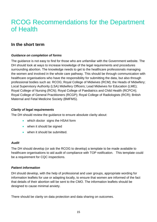### RCOG Recommendations for the Department of Health

#### **In the short term**

#### *Guidance on completion of forms*

The guidance is not easy to find for those who are unfamiliar with the Government website. The DH should look at ways to increase knowledge of the legal requirements and procedures surrounding abortion. The knowledge needs to get to the healthcare professionals managing the women and involved in the whole care pathway. This should be through communication with healthcare organisations who have the responsibility for submitting the data, but also through professional bodies such as: RCOG; Royal College of Midwives (RCM); the Heads of Midwifery; Local Supervisory Authority (LSA) Midwifery Officers; Lead Midwives for Education (LME); Royal College of Nursing (RCN); Royal College of Paediatrics and Child Health (RCPCH); Royal College of General Practitioners (RCGP); Royal College of Radiologists (RCR); British Maternal and Fetal Medicine Society (BMFMS).

#### *Clarity of legal requirements*

The DH should review the guidance to ensure absolute clarity about:

- which doctor signs the HSA4 form
- when it should be signed
- when it should be submitted.

#### *Audit*

The DH should develop (or ask the RCOG to develop) a template to be made available to healthcare organisations to aid audit of compliance with TOP notification. This template could be a requirement for CQC inspections.

#### *Patient information*

DH should develop, with the help of professional and user groups, appropriate wording for information leaflets for use or adapting locally, to ensure that women are informed of the fact that details of their abortion will be sent to the CMO. The information leaflets should be designed to cause minimal anxiety.

There should be clarity on data protection and data sharing on outcomes.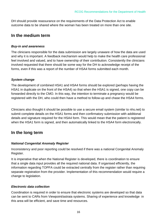DH should provide reassurance on the requirements of the Data Protection Act to enable outcome data to be shared where the woman has been treated on more than one site.

#### **In the medium term**

#### *Buy-in and awareness*

The clinicians responsible for the data submission are largely unaware of how the data are used and why it is important. A feedback mechanism would help to make the health care professional feel involved and valued, and to have ownership of their contribution. Consistently the clinicians involved requested that there should be some way for the DH to acknowledge receipt of the forms, even if this was a report of the number of HSA4 forms submitted each month.

#### *System change*

The development of combined HSA1 and HSA4 forms should be explored (perhaps having the HSA1 in duplicate on the front of the HSA4) so that when the HSA1 is signed, one copy can be forwarded directly to the CMO. In this way, the intention to terminate a pregnancy would be registered with the DH, who could then have a method to follow-up and chase the HSA4 forms.

Clinicians also thought it should be possible to use a secure email system (similar to nhs.net) to submit complete details on the HSA1 forms and then confirmatory submission with additional details and signature required for the HSA4 form. This would mean that the patient is registered when the HSA1 form is signed, and then automatically linked to the HSA4 form electronically.

### **In the long term**

#### *National Congenital Anomaly Register*

Inconsistency and poor reporting could be resolved if there was a national Congenital Anomaly Register.

It is imperative that when the National Register is developed, there is coordination to ensure that a single data input provides all the required national data. If organised efficiently, the information regarding TOPFA could be extracted centrally from the register rather than requiring separate registration from the provider. Implementation of this recommendation would require a change to legislation.

#### *Electronic data collection*

Coordination is required in order to ensure that electronic systems are developed so that data can be sent to CARs from Viewpoint/astraia systems. Sharing of experience and knowledge in this area will be efficient, and save time and resources.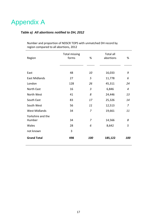### Appendix A

#### *Table a) All abortions notified to DH, 2012*

| Region               | <b>Total missing</b><br>forms | %              | Total all<br>abortions | %              |
|----------------------|-------------------------------|----------------|------------------------|----------------|
|                      |                               |                |                        |                |
| East                 | 48                            | 10             | 16,033                 | 9              |
| <b>East Midlands</b> | 27                            | 5              | 11,778                 | 6              |
| London               | 128                           | 26             | 45,311                 | 24             |
| North East           | 16                            | $\overline{3}$ | 6,846                  | 4              |
| North West           | 41                            | 8              | 24,446                 | 13             |
| South East           | 83                            | 17             | 25,326                 | 14             |
| South West           | 56                            | 11             | 12,513                 | $\overline{7}$ |
| <b>West Midlands</b> | 34                            | 7              | 19,661                 | 11             |
| Yorkshire and the    |                               |                |                        |                |
| Humber               | 34                            | 7              | 14,566                 | 8              |
| Wales                | 28                            | 6              | 8,642                  | 5              |
| not known            | 3                             |                |                        |                |
| <b>Grand Total</b>   | 498                           | 100            | 185,122                | 100            |

Number and proportion of NDSCR TOPS with unmatched DH record by region compared to all abortions, 2012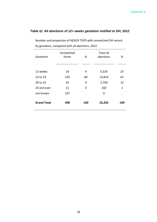#### *Table b) All abortions of 12+ weeks gestation notified to DH, 2012*

Number and proportion of NDSCR TOPS with unmatched DH record by gestation, compared with all abortions, 2012

| Gestation          | Unmatched<br>forms | %   | <b>Total all</b><br>abortions | %                 |
|--------------------|--------------------|-----|-------------------------------|-------------------|
|                    |                    |     |                               |                   |
| 12 weeks           | 16                 | 4   | 5,529                         | 25                |
| 13 to 19           | 329                | 84  | 13,814                        | 62                |
| 20 to 23           | 35                 | 9   | 2,700                         | 12                |
| 24 and over        | 11                 | 3   | 160                           | 1                 |
| not known          | 107                |     | 0                             |                   |
| <b>Grand Total</b> | 498                | 100 | 22,203                        | <i><b>100</b></i> |